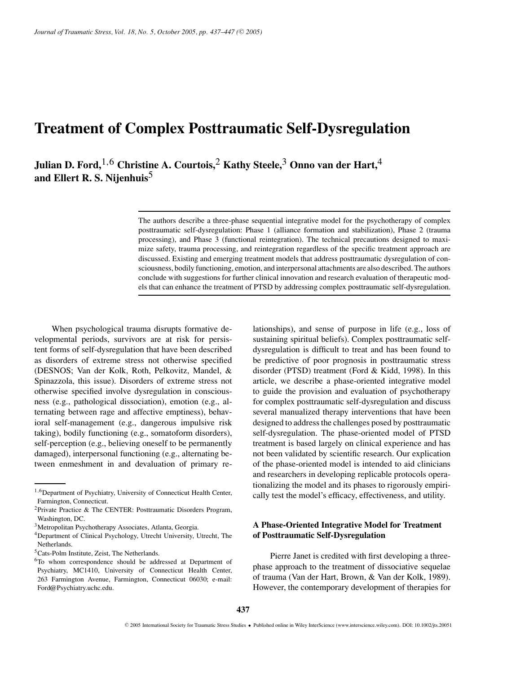**Julian D. Ford,**1*,*6 **Christine A. Courtois,**2 **Kathy Steele,**3 **Onno van der Hart,**4 **and Ellert R. S. Nijenhuis**5

> The authors describe a three-phase sequential integrative model for the psychotherapy of complex posttraumatic self-dysregulation: Phase 1 (alliance formation and stabilization), Phase 2 (trauma processing), and Phase 3 (functional reintegration). The technical precautions designed to maximize safety, trauma processing, and reintegration regardless of the specific treatment approach are discussed. Existing and emerging treatment models that address posttraumatic dysregulation of consciousness, bodily functioning, emotion, and interpersonal attachments are also described. The authors conclude with suggestions for further clinical innovation and research evaluation of therapeutic models that can enhance the treatment of PTSD by addressing complex posttraumatic self-dysregulation.

When psychological trauma disrupts formative developmental periods, survivors are at risk for persistent forms of self-dysregulation that have been described as disorders of extreme stress not otherwise specified (DESNOS; Van der Kolk, Roth, Pelkovitz, Mandel, & Spinazzola, this issue). Disorders of extreme stress not otherwise specified involve dysregulation in consciousness (e.g., pathological dissociation), emotion (e.g., alternating between rage and affective emptiness), behavioral self-management (e.g., dangerous impulsive risk taking), bodily functioning (e.g., somatoform disorders), self-perception (e.g., believing oneself to be permanently damaged), interpersonal functioning (e.g., alternating between enmeshment in and devaluation of primary relationships), and sense of purpose in life (e.g., loss of sustaining spiritual beliefs). Complex posttraumatic selfdysregulation is difficult to treat and has been found to be predictive of poor prognosis in posttraumatic stress disorder (PTSD) treatment (Ford & Kidd, 1998). In this article, we describe a phase-oriented integrative model to guide the provision and evaluation of psychotherapy for complex posttraumatic self-dysregulation and discuss several manualized therapy interventions that have been designed to address the challenges posed by posttraumatic self-dysregulation. The phase-oriented model of PTSD treatment is based largely on clinical experience and has not been validated by scientific research. Our explication of the phase-oriented model is intended to aid clinicians and researchers in developing replicable protocols operationalizing the model and its phases to rigorously empirically test the model's efficacy, effectiveness, and utility.

# **A Phase-Oriented Integrative Model for Treatment of Posttraumatic Self-Dysregulation**

Pierre Janet is credited with first developing a threephase approach to the treatment of dissociative sequelae of trauma (Van der Hart, Brown, & Van der Kolk, 1989). However, the contemporary development of therapies for

<sup>1</sup>*,*6Department of Psychiatry, University of Connecticut Health Center, Farmington, Connecticut.

<sup>&</sup>lt;sup>2</sup>Private Practice & The CENTER: Posttraumatic Disorders Program, Washington, DC.

<sup>3</sup>Metropolitan Psychotherapy Associates, Atlanta, Georgia.

<sup>4</sup>Department of Clinical Psychology, Utrecht University, Utrecht, The Netherlands.

<sup>5</sup>Cats-Polm Institute, Zeist, The Netherlands.

<sup>6</sup>To whom correspondence should be addressed at Department of Psychiatry, MC1410, University of Connecticut Health Center, 263 Farmington Avenue, Farmington, Connecticut 06030; e-mail: Ford@Psychiatry.uchc.edu.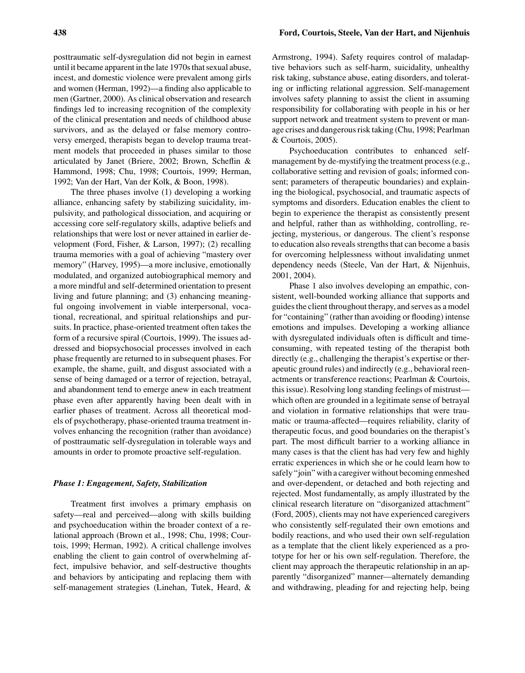posttraumatic self-dysregulation did not begin in earnest until it became apparent in the late 1970s that sexual abuse, incest, and domestic violence were prevalent among girls and women (Herman, 1992)—a finding also applicable to men (Gartner, 2000). As clinical observation and research findings led to increasing recognition of the complexity of the clinical presentation and needs of childhood abuse survivors, and as the delayed or false memory controversy emerged, therapists began to develop trauma treatment models that proceeded in phases similar to those articulated by Janet (Briere, 2002; Brown, Scheflin & Hammond, 1998; Chu, 1998; Courtois, 1999; Herman, 1992; Van der Hart, Van der Kolk, & Boon, 1998).

The three phases involve (1) developing a working alliance, enhancing safety by stabilizing suicidality, impulsivity, and pathological dissociation, and acquiring or accessing core self-regulatory skills, adaptive beliefs and relationships that were lost or never attained in earlier development (Ford, Fisher, & Larson, 1997); (2) recalling trauma memories with a goal of achieving "mastery over memory" (Harvey, 1995)—a more inclusive, emotionally modulated, and organized autobiographical memory and a more mindful and self-determined orientation to present living and future planning; and (3) enhancing meaningful ongoing involvement in viable interpersonal, vocational, recreational, and spiritual relationships and pursuits. In practice, phase-oriented treatment often takes the form of a recursive spiral (Courtois, 1999). The issues addressed and biopsychosocial processes involved in each phase frequently are returned to in subsequent phases. For example, the shame, guilt, and disgust associated with a sense of being damaged or a terror of rejection, betrayal, and abandonment tend to emerge anew in each treatment phase even after apparently having been dealt with in earlier phases of treatment. Across all theoretical models of psychotherapy, phase-oriented trauma treatment involves enhancing the recognition (rather than avoidance) of posttraumatic self-dysregulation in tolerable ways and amounts in order to promote proactive self-regulation.

#### *Phase 1: Engagement, Safety, Stabilization*

Treatment first involves a primary emphasis on safety—real and perceived—along with skills building and psychoeducation within the broader context of a relational approach (Brown et al., 1998; Chu, 1998; Courtois, 1999; Herman, 1992). A critical challenge involves enabling the client to gain control of overwhelming affect, impulsive behavior, and self-destructive thoughts and behaviors by anticipating and replacing them with self-management strategies (Linehan, Tutek, Heard, &

Armstrong, 1994). Safety requires control of maladaptive behaviors such as self-harm, suicidality, unhealthy risk taking, substance abuse, eating disorders, and tolerating or inflicting relational aggression. Self-management involves safety planning to assist the client in assuming responsibility for collaborating with people in his or her support network and treatment system to prevent or manage crises and dangerous risk taking (Chu, 1998; Pearlman & Courtois, 2005).

Psychoeducation contributes to enhanced selfmanagement by de-mystifying the treatment process (e.g., collaborative setting and revision of goals; informed consent; parameters of therapeutic boundaries) and explaining the biological, psychosocial, and traumatic aspects of symptoms and disorders. Education enables the client to begin to experience the therapist as consistently present and helpful, rather than as withholding, controlling, rejecting, mysterious, or dangerous. The client's response to education also reveals strengths that can become a basis for overcoming helplessness without invalidating unmet dependency needs (Steele, Van der Hart, & Nijenhuis, 2001, 2004).

Phase 1 also involves developing an empathic, consistent, well-bounded working alliance that supports and guides the client throughout therapy, and serves as a model for "containing" (rather than avoiding or flooding) intense emotions and impulses. Developing a working alliance with dysregulated individuals often is difficult and timeconsuming, with repeated testing of the therapist both directly (e.g., challenging the therapist's expertise or therapeutic ground rules) and indirectly (e.g., behavioral reenactments or transference reactions; Pearlman & Courtois, this issue). Resolving long standing feelings of mistrust which often are grounded in a legitimate sense of betrayal and violation in formative relationships that were traumatic or trauma-affected—requires reliability, clarity of therapeutic focus, and good boundaries on the therapist's part. The most difficult barrier to a working alliance in many cases is that the client has had very few and highly erratic experiences in which she or he could learn how to safely "join" with a caregiver without becoming enmeshed and over-dependent, or detached and both rejecting and rejected. Most fundamentally, as amply illustrated by the clinical research literature on "disorganized attachment" (Ford, 2005), clients may not have experienced caregivers who consistently self-regulated their own emotions and bodily reactions, and who used their own self-regulation as a template that the client likely experienced as a prototype for her or his own self-regulation. Therefore, the client may approach the therapeutic relationship in an apparently "disorganized" manner—alternately demanding and withdrawing, pleading for and rejecting help, being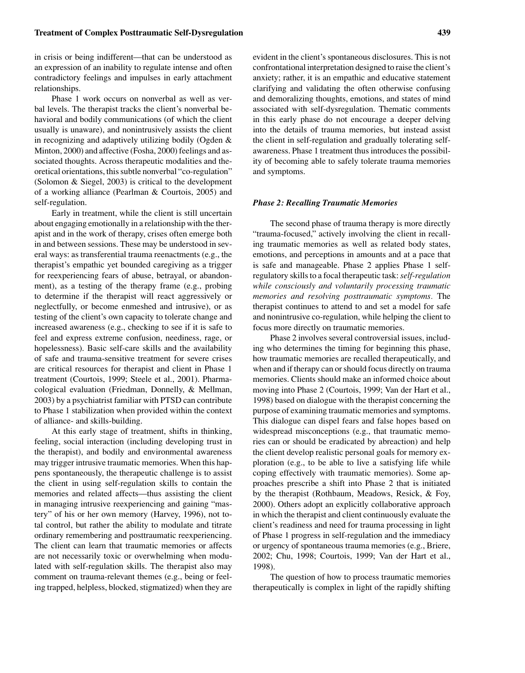in crisis or being indifferent—that can be understood as an expression of an inability to regulate intense and often contradictory feelings and impulses in early attachment relationships.

Phase 1 work occurs on nonverbal as well as verbal levels. The therapist tracks the client's nonverbal behavioral and bodily communications (of which the client usually is unaware), and nonintrusively assists the client in recognizing and adaptively utilizing bodily (Ogden & Minton, 2000) and affective (Fosha, 2000) feelings and associated thoughts. Across therapeutic modalities and theoretical orientations, this subtle nonverbal "co-regulation" (Solomon & Siegel, 2003) is critical to the development of a working alliance (Pearlman & Courtois, 2005) and self-regulation.

Early in treatment, while the client is still uncertain about engaging emotionally in a relationship with the therapist and in the work of therapy, crises often emerge both in and between sessions. These may be understood in several ways: as transferential trauma reenactments (e.g., the therapist's empathic yet bounded caregiving as a trigger for reexperiencing fears of abuse, betrayal, or abandonment), as a testing of the therapy frame (e.g., probing to determine if the therapist will react aggressively or neglectfully, or become enmeshed and intrusive), or as testing of the client's own capacity to tolerate change and increased awareness (e.g., checking to see if it is safe to feel and express extreme confusion, neediness, rage, or hopelessness). Basic self-care skills and the availability of safe and trauma-sensitive treatment for severe crises are critical resources for therapist and client in Phase 1 treatment (Courtois, 1999; Steele et al., 2001). Pharmacological evaluation (Friedman, Donnelly, & Mellman, 2003) by a psychiatrist familiar with PTSD can contribute to Phase 1 stabilization when provided within the context of alliance- and skills-building.

At this early stage of treatment, shifts in thinking, feeling, social interaction (including developing trust in the therapist), and bodily and environmental awareness may trigger intrusive traumatic memories. When this happens spontaneously, the therapeutic challenge is to assist the client in using self-regulation skills to contain the memories and related affects—thus assisting the client in managing intrusive reexperiencing and gaining "mastery" of his or her own memory (Harvey, 1996), not total control, but rather the ability to modulate and titrate ordinary remembering and posttraumatic reexperiencing. The client can learn that traumatic memories or affects are not necessarily toxic or overwhelming when modulated with self-regulation skills. The therapist also may comment on trauma-relevant themes (e.g., being or feeling trapped, helpless, blocked, stigmatized) when they are evident in the client's spontaneous disclosures. This is not confrontational interpretation designed to raise the client's anxiety; rather, it is an empathic and educative statement clarifying and validating the often otherwise confusing and demoralizing thoughts, emotions, and states of mind associated with self-dysregulation. Thematic comments in this early phase do not encourage a deeper delving into the details of trauma memories, but instead assist the client in self-regulation and gradually tolerating selfawareness. Phase 1 treatment thus introduces the possibility of becoming able to safely tolerate trauma memories and symptoms.

#### *Phase 2: Recalling Traumatic Memories*

The second phase of trauma therapy is more directly "trauma-focused," actively involving the client in recalling traumatic memories as well as related body states, emotions, and perceptions in amounts and at a pace that is safe and manageable. Phase 2 applies Phase 1 selfregulatory skills to a focal therapeutic task:*self-regulation while consciously and voluntarily processing traumatic memories and resolving posttraumatic symptoms.* The therapist continues to attend to and set a model for safe and nonintrusive co-regulation, while helping the client to focus more directly on traumatic memories.

Phase 2 involves several controversial issues, including who determines the timing for beginning this phase, how traumatic memories are recalled therapeutically, and when and if therapy can or should focus directly on trauma memories. Clients should make an informed choice about moving into Phase 2 (Courtois, 1999; Van der Hart et al., 1998) based on dialogue with the therapist concerning the purpose of examining traumatic memories and symptoms. This dialogue can dispel fears and false hopes based on widespread misconceptions (e.g., that traumatic memories can or should be eradicated by abreaction) and help the client develop realistic personal goals for memory exploration (e.g., to be able to live a satisfying life while coping effectively with traumatic memories). Some approaches prescribe a shift into Phase 2 that is initiated by the therapist (Rothbaum, Meadows, Resick, & Foy, 2000). Others adopt an explicitly collaborative approach in which the therapist and client continuously evaluate the client's readiness and need for trauma processing in light of Phase 1 progress in self-regulation and the immediacy or urgency of spontaneous trauma memories (e.g., Briere, 2002; Chu, 1998; Courtois, 1999; Van der Hart et al., 1998).

The question of how to process traumatic memories therapeutically is complex in light of the rapidly shifting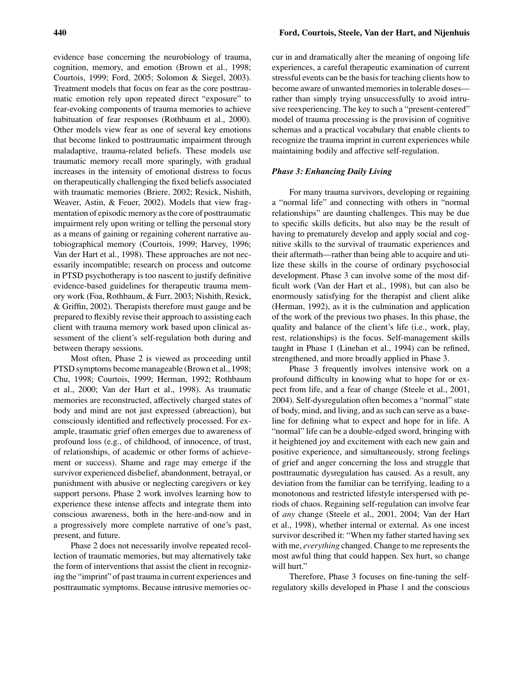evidence base concerning the neurobiology of trauma, cognition, memory, and emotion (Brown et al., 1998; Courtois, 1999; Ford, 2005; Solomon & Siegel, 2003). Treatment models that focus on fear as the core posttraumatic emotion rely upon repeated direct "exposure" to fear-evoking components of trauma memories to achieve habituation of fear responses (Rothbaum et al., 2000). Other models view fear as one of several key emotions that become linked to posttraumatic impairment through maladaptive, trauma-related beliefs. These models use traumatic memory recall more sparingly, with gradual increases in the intensity of emotional distress to focus on therapeutically challenging the fixed beliefs associated with traumatic memories (Briere, 2002; Resick, Nishith, Weaver, Astin, & Feuer, 2002). Models that view fragmentation of episodic memory as the core of posttraumatic impairment rely upon writing or telling the personal story as a means of gaining or regaining coherent narrative autobiographical memory (Courtois, 1999; Harvey, 1996; Van der Hart et al., 1998). These approaches are not necessarily incompatible; research on process and outcome in PTSD psychotherapy is too nascent to justify definitive evidence-based guidelines for therapeutic trauma memory work (Foa, Rothbaum, & Furr, 2003; Nishith, Resick, & Griffin, 2002). Therapists therefore must gauge and be prepared to flexibly revise their approach to assisting each client with trauma memory work based upon clinical assessment of the client's self-regulation both during and between therapy sessions.

Most often, Phase 2 is viewed as proceeding until PTSD symptoms become manageable (Brown et al., 1998; Chu, 1998; Courtois, 1999; Herman, 1992; Rothbaum et al., 2000; Van der Hart et al., 1998). As traumatic memories are reconstructed, affectively charged states of body and mind are not just expressed (abreaction), but consciously identified and reflectively processed. For example, traumatic grief often emerges due to awareness of profound loss (e.g., of childhood, of innocence, of trust, of relationships, of academic or other forms of achievement or success). Shame and rage may emerge if the survivor experienced disbelief, abandonment, betrayal, or punishment with abusive or neglecting caregivers or key support persons. Phase 2 work involves learning how to experience these intense affects and integrate them into conscious awareness, both in the here-and-now and in a progressively more complete narrative of one's past, present, and future.

Phase 2 does not necessarily involve repeated recollection of traumatic memories, but may alternatively take the form of interventions that assist the client in recognizing the "imprint" of past trauma in current experiences and posttraumatic symptoms. Because intrusive memories oc-

cur in and dramatically alter the meaning of ongoing life experiences, a careful therapeutic examination of current stressful events can be the basis for teaching clients how to become aware of unwanted memories in tolerable doses rather than simply trying unsuccessfully to avoid intrusive reexperiencing. The key to such a "present-centered" model of trauma processing is the provision of cognitive schemas and a practical vocabulary that enable clients to recognize the trauma imprint in current experiences while maintaining bodily and affective self-regulation.

#### *Phase 3: Enhancing Daily Living*

For many trauma survivors, developing or regaining a "normal life" and connecting with others in "normal relationships" are daunting challenges. This may be due to specific skills deficits, but also may be the result of having to prematurely develop and apply social and cognitive skills to the survival of traumatic experiences and their aftermath—rather than being able to acquire and utilize these skills in the course of ordinary psychosocial development. Phase 3 can involve some of the most difficult work (Van der Hart et al., 1998), but can also be enormously satisfying for the therapist and client alike (Herman, 1992), as it is the culmination and application of the work of the previous two phases. In this phase, the quality and balance of the client's life (i.e., work, play, rest, relationships) is the focus. Self-management skills taught in Phase 1 (Linehan et al., 1994) can be refined, strengthened, and more broadly applied in Phase 3.

Phase 3 frequently involves intensive work on a profound difficulty in knowing what to hope for or expect from life, and a fear of change (Steele et al., 2001, 2004). Self-dysregulation often becomes a "normal" state of body, mind, and living, and as such can serve as a baseline for defining what to expect and hope for in life. A "normal" life can be a double-edged sword, bringing with it heightened joy and excitement with each new gain and positive experience, and simultaneously, strong feelings of grief and anger concerning the loss and struggle that posttraumatic dysregulation has caused. As a result, any deviation from the familiar can be terrifying, leading to a monotonous and restricted lifestyle interspersed with periods of chaos. Regaining self-regulation can involve fear of *any* change (Steele et al., 2001, 2004; Van der Hart et al., 1998), whether internal or external. As one incest survivor described it: "When my father started having sex with me, *everything* changed. Change to me represents the most awful thing that could happen. Sex hurt, so change will hurt."

Therefore, Phase 3 focuses on fine-tuning the selfregulatory skills developed in Phase 1 and the conscious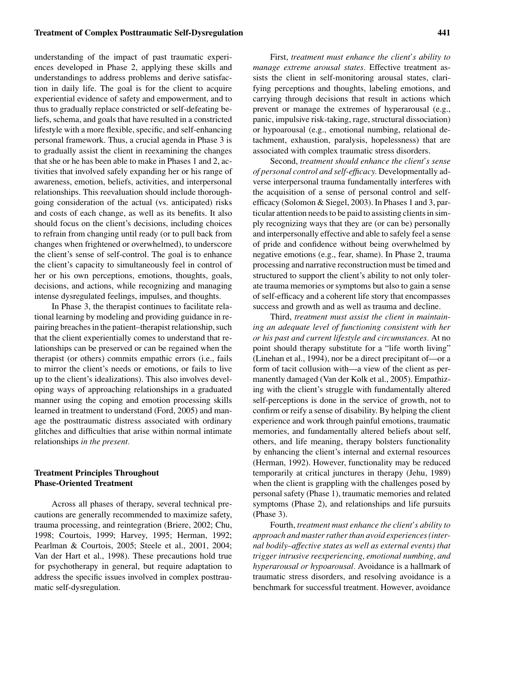understanding of the impact of past traumatic experiences developed in Phase 2, applying these skills and understandings to address problems and derive satisfaction in daily life. The goal is for the client to acquire experiential evidence of safety and empowerment, and to thus to gradually replace constricted or self-defeating beliefs, schema, and goals that have resulted in a constricted lifestyle with a more flexible, specific, and self-enhancing personal framework. Thus, a crucial agenda in Phase 3 is to gradually assist the client in reexamining the changes that she or he has been able to make in Phases 1 and 2, activities that involved safely expanding her or his range of awareness, emotion, beliefs, activities, and interpersonal relationships. This reevaluation should include thoroughgoing consideration of the actual (vs. anticipated) risks and costs of each change, as well as its benefits. It also should focus on the client's decisions, including choices to refrain from changing until ready (or to pull back from changes when frightened or overwhelmed), to underscore the client's sense of self-control. The goal is to enhance the client's capacity to simultaneously feel in control of her or his own perceptions, emotions, thoughts, goals, decisions, and actions, while recognizing and managing intense dysregulated feelings, impulses, and thoughts.

In Phase 3, the therapist continues to facilitate relational learning by modeling and providing guidance in repairing breaches in the patient–therapist relationship, such that the client experientially comes to understand that relationships can be preserved or can be regained when the therapist (or others) commits empathic errors (i.e., fails to mirror the client's needs or emotions, or fails to live up to the client's idealizations). This also involves developing ways of approaching relationships in a graduated manner using the coping and emotion processing skills learned in treatment to understand (Ford, 2005) and manage the posttraumatic distress associated with ordinary glitches and difficulties that arise within normal intimate relationships *in the present.*

# **Treatment Principles Throughout Phase-Oriented Treatment**

Across all phases of therapy, several technical precautions are generally recommended to maximize safety, trauma processing, and reintegration (Briere, 2002; Chu, 1998; Courtois, 1999; Harvey, 1995; Herman, 1992; Pearlman & Courtois, 2005; Steele et al., 2001, 2004; Van der Hart et al., 1998). These precautions hold true for psychotherapy in general, but require adaptation to address the specific issues involved in complex posttraumatic self-dysregulation.

First, *treatment must enhance the client's ability to manage extreme arousal states.* Effective treatment assists the client in self-monitoring arousal states, clarifying perceptions and thoughts, labeling emotions, and carrying through decisions that result in actions which prevent or manage the extremes of hyperarousal (e.g., panic, impulsive risk-taking, rage, structural dissociation) or hypoarousal (e.g., emotional numbing, relational detachment, exhaustion, paralysis, hopelessness) that are associated with complex traumatic stress disorders.

Second, *treatment should enhance the client's sense of personal control and self-efficacy.* Developmentally adverse interpersonal trauma fundamentally interferes with the acquisition of a sense of personal control and selfefficacy (Solomon & Siegel, 2003). In Phases 1 and 3, particular attention needs to be paid to assisting clients in simply recognizing ways that they are (or can be) personally and interpersonally effective and able to safely feel a sense of pride and confidence without being overwhelmed by negative emotions (e.g., fear, shame). In Phase 2, trauma processing and narrative reconstruction must be timed and structured to support the client's ability to not only tolerate trauma memories or symptoms but also to gain a sense of self-efficacy and a coherent life story that encompasses success and growth and as well as trauma and decline.

Third, *treatment must assist the client in maintaining an adequate level of functioning consistent with her or his past and current lifestyle and circumstances.* At no point should therapy substitute for a "life worth living" (Linehan et al., 1994), nor be a direct precipitant of—or a form of tacit collusion with—a view of the client as permanently damaged (Van der Kolk et al., 2005). Empathizing with the client's struggle with fundamentally altered self-perceptions is done in the service of growth, not to confirm or reify a sense of disability. By helping the client experience and work through painful emotions, traumatic memories, and fundamentally altered beliefs about self, others, and life meaning, therapy bolsters functionality by enhancing the client's internal and external resources (Herman, 1992). However, functionality may be reduced temporarily at critical junctures in therapy (Jehu, 1989) when the client is grappling with the challenges posed by personal safety (Phase 1), traumatic memories and related symptoms (Phase 2), and relationships and life pursuits (Phase 3).

Fourth, *treatment must enhance the client's ability to approach and master rather than avoid experiences (internal bodily–affective states as well as external events) that trigger intrusive reexperiencing, emotional numbing, and hyperarousal or hypoarousal.* Avoidance is a hallmark of traumatic stress disorders, and resolving avoidance is a benchmark for successful treatment. However, avoidance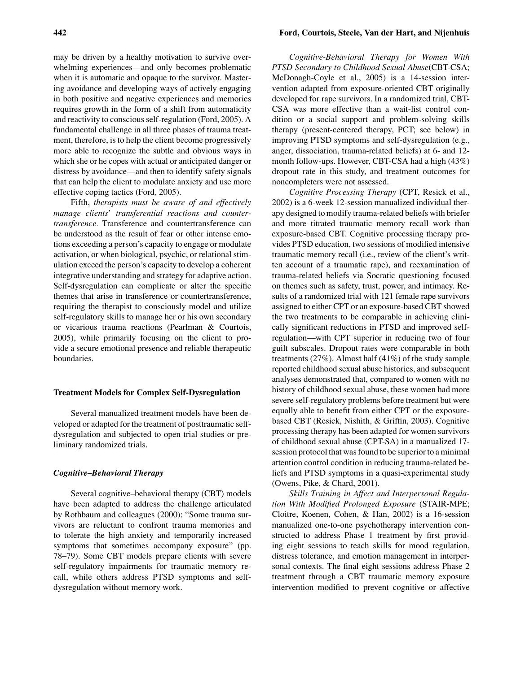**442 Ford, Courtois, Steele, Van der Hart, and Nijenhuis**

may be driven by a healthy motivation to survive overwhelming experiences—and only becomes problematic when it is automatic and opaque to the survivor. Mastering avoidance and developing ways of actively engaging in both positive and negative experiences and memories requires growth in the form of a shift from automaticity and reactivity to conscious self-regulation (Ford, 2005). A fundamental challenge in all three phases of trauma treatment, therefore, is to help the client become progressively more able to recognize the subtle and obvious ways in which she or he copes with actual or anticipated danger or distress by avoidance—and then to identify safety signals that can help the client to modulate anxiety and use more effective coping tactics (Ford, 2005).

Fifth, *therapists must be aware of and effectively manage clients' transferential reactions and countertransference.* Transference and countertransference can be understood as the result of fear or other intense emotions exceeding a person's capacity to engage or modulate activation, or when biological, psychic, or relational stimulation exceed the person's capacity to develop a coherent integrative understanding and strategy for adaptive action. Self-dysregulation can complicate or alter the specific themes that arise in transference or countertransference, requiring the therapist to consciously model and utilize self-regulatory skills to manage her or his own secondary or vicarious trauma reactions (Pearlman & Courtois, 2005), while primarily focusing on the client to provide a secure emotional presence and reliable therapeutic boundaries.

## **Treatment Models for Complex Self-Dysregulation**

Several manualized treatment models have been developed or adapted for the treatment of posttraumatic selfdysregulation and subjected to open trial studies or preliminary randomized trials.

#### *Cognitive–Behavioral Therapy*

Several cognitive–behavioral therapy (CBT) models have been adapted to address the challenge articulated by Rothbaum and colleagues (2000): "Some trauma survivors are reluctant to confront trauma memories and to tolerate the high anxiety and temporarily increased symptoms that sometimes accompany exposure" (pp. 78–79). Some CBT models prepare clients with severe self-regulatory impairments for traumatic memory recall, while others address PTSD symptoms and selfdysregulation without memory work.

*Cognitive-Behavioral Therapy for Women With PTSD Secondary to Childhood Sexual Abuse*(CBT-CSA; McDonagh-Coyle et al., 2005) is a 14-session intervention adapted from exposure-oriented CBT originally developed for rape survivors. In a randomized trial, CBT-CSA was more effective than a wait-list control condition or a social support and problem-solving skills therapy (present-centered therapy, PCT; see below) in improving PTSD symptoms and self-dysregulation (e.g., anger, dissociation, trauma-related beliefs) at 6- and 12 month follow-ups. However, CBT-CSA had a high (43%) dropout rate in this study, and treatment outcomes for noncompleters were not assessed.

*Cognitive Processing Therapy* (CPT, Resick et al., 2002) is a 6-week 12-session manualized individual therapy designed to modify trauma-related beliefs with briefer and more titrated traumatic memory recall work than exposure-based CBT. Cognitive processing therapy provides PTSD education, two sessions of modified intensive traumatic memory recall (i.e., review of the client's written account of a traumatic rape), and reexamination of trauma-related beliefs via Socratic questioning focused on themes such as safety, trust, power, and intimacy. Results of a randomized trial with 121 female rape survivors assigned to either CPT or an exposure-based CBT showed the two treatments to be comparable in achieving clinically significant reductions in PTSD and improved selfregulation—with CPT superior in reducing two of four guilt subscales. Dropout rates were comparable in both treatments (27%). Almost half (41%) of the study sample reported childhood sexual abuse histories, and subsequent analyses demonstrated that, compared to women with no history of childhood sexual abuse, these women had more severe self-regulatory problems before treatment but were equally able to benefit from either CPT or the exposurebased CBT (Resick, Nishith, & Griffin, 2003). Cognitive processing therapy has been adapted for women survivors of childhood sexual abuse (CPT-SA) in a manualized 17 session protocol that was found to be superior to a minimal attention control condition in reducing trauma-related beliefs and PTSD symptoms in a quasi-experimental study (Owens, Pike, & Chard, 2001).

*Skills Training in Affect and Interpersonal Regulation With Modified Prolonged Exposure* (STAIR-MPE; Cloitre, Koenen, Cohen, & Han, 2002) is a 16-session manualized one-to-one psychotherapy intervention constructed to address Phase 1 treatment by first providing eight sessions to teach skills for mood regulation, distress tolerance, and emotion management in interpersonal contexts. The final eight sessions address Phase 2 treatment through a CBT traumatic memory exposure intervention modified to prevent cognitive or affective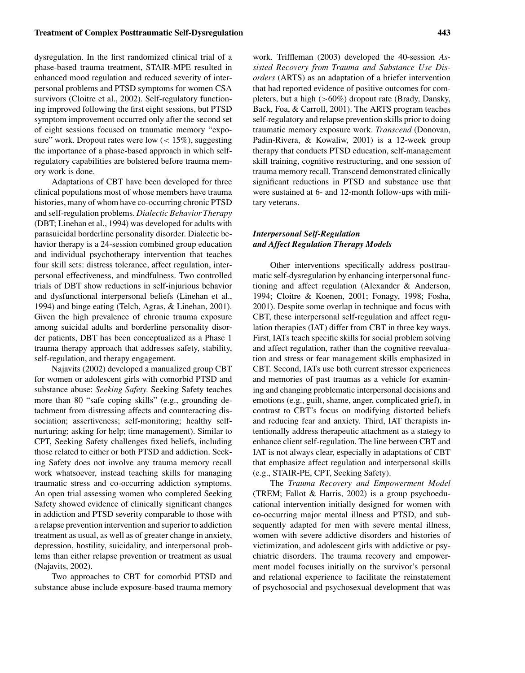dysregulation. In the first randomized clinical trial of a phase-based trauma treatment, STAIR-MPE resulted in enhanced mood regulation and reduced severity of interpersonal problems and PTSD symptoms for women CSA survivors (Cloitre et al., 2002). Self-regulatory functioning improved following the first eight sessions, but PTSD symptom improvement occurred only after the second set of eight sessions focused on traumatic memory "exposure" work. Dropout rates were low (*<* 15%), suggesting the importance of a phase-based approach in which selfregulatory capabilities are bolstered before trauma memory work is done.

Adaptations of CBT have been developed for three clinical populations most of whose members have trauma histories, many of whom have co-occurring chronic PTSD and self-regulation problems. *Dialectic Behavior Therapy* (DBT; Linehan et al., 1994) was developed for adults with parasuicidal borderline personality disorder. Dialectic behavior therapy is a 24-session combined group education and individual psychotherapy intervention that teaches four skill sets: distress tolerance, affect regulation, interpersonal effectiveness, and mindfulness. Two controlled trials of DBT show reductions in self-injurious behavior and dysfunctional interpersonal beliefs (Linehan et al., 1994) and binge eating (Telch, Agras, & Linehan, 2001). Given the high prevalence of chronic trauma exposure among suicidal adults and borderline personality disorder patients, DBT has been conceptualized as a Phase 1 trauma therapy approach that addresses safety, stability, self-regulation, and therapy engagement.

Najavits (2002) developed a manualized group CBT for women or adolescent girls with comorbid PTSD and substance abuse: *Seeking Safety.* Seeking Safety teaches more than 80 "safe coping skills" (e.g., grounding detachment from distressing affects and counteracting dissociation; assertiveness; self-monitoring; healthy selfnurturing; asking for help; time management). Similar to CPT, Seeking Safety challenges fixed beliefs, including those related to either or both PTSD and addiction. Seeking Safety does not involve any trauma memory recall work whatsoever, instead teaching skills for managing traumatic stress and co-occurring addiction symptoms. An open trial assessing women who completed Seeking Safety showed evidence of clinically significant changes in addiction and PTSD severity comparable to those with a relapse prevention intervention and superior to addiction treatment as usual, as well as of greater change in anxiety, depression, hostility, suicidality, and interpersonal problems than either relapse prevention or treatment as usual (Najavits, 2002).

Two approaches to CBT for comorbid PTSD and substance abuse include exposure-based trauma memory work. Triffleman (2003) developed the 40-session *Assisted Recovery from Trauma and Substance Use Disorders* (ARTS) as an adaptation of a briefer intervention that had reported evidence of positive outcomes for completers, but a high (*>*60%) dropout rate (Brady, Dansky, Back, Foa, & Carroll, 2001). The ARTS program teaches self-regulatory and relapse prevention skills prior to doing traumatic memory exposure work. *Transcend* (Donovan, Padin-Rivera, & Kowaliw, 2001) is a 12-week group therapy that conducts PTSD education, self-management skill training, cognitive restructuring, and one session of trauma memory recall. Transcend demonstrated clinically significant reductions in PTSD and substance use that were sustained at 6- and 12-month follow-ups with military veterans.

## *Interpersonal Self-Regulation and Affect Regulation Therapy Models*

Other interventions specifically address posttraumatic self-dysregulation by enhancing interpersonal functioning and affect regulation (Alexander & Anderson, 1994; Cloitre & Koenen, 2001; Fonagy, 1998; Fosha, 2001). Despite some overlap in technique and focus with CBT, these interpersonal self-regulation and affect regulation therapies (IAT) differ from CBT in three key ways. First, IATs teach specific skills for social problem solving and affect regulation, rather than the cognitive reevaluation and stress or fear management skills emphasized in CBT. Second, IATs use both current stressor experiences and memories of past traumas as a vehicle for examining and changing problematic interpersonal decisions and emotions (e.g., guilt, shame, anger, complicated grief), in contrast to CBT's focus on modifying distorted beliefs and reducing fear and anxiety. Third, IAT therapists intentionally address therapeutic attachment as a stategy to enhance client self-regulation. The line between CBT and IAT is not always clear, especially in adaptations of CBT that emphasize affect regulation and interpersonal skills (e.g., STAIR-PE, CPT, Seeking Safety).

The *Trauma Recovery and Empowerment Model* (TREM; Fallot & Harris, 2002) is a group psychoeducational intervention initially designed for women with co-occurring major mental illness and PTSD, and subsequently adapted for men with severe mental illness, women with severe addictive disorders and histories of victimization, and adolescent girls with addictive or psychiatric disorders. The trauma recovery and empowerment model focuses initially on the survivor's personal and relational experience to facilitate the reinstatement of psychosocial and psychosexual development that was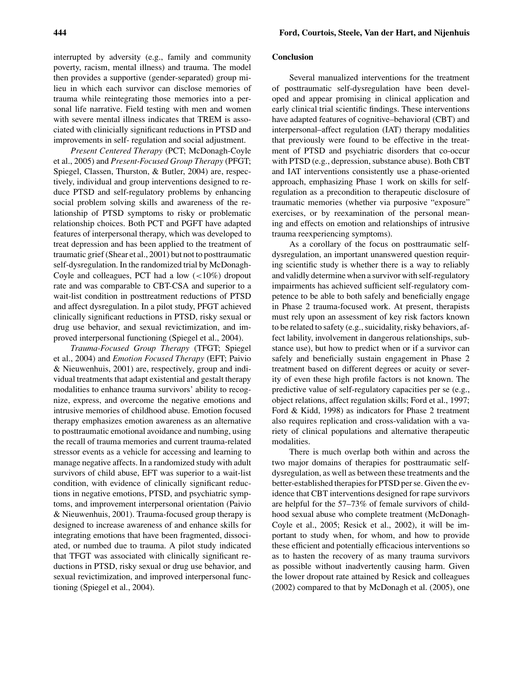interrupted by adversity (e.g., family and community poverty, racism, mental illness) and trauma. The model then provides a supportive (gender-separated) group milieu in which each survivor can disclose memories of trauma while reintegrating those memories into a personal life narrative. Field testing with men and women with severe mental illness indicates that TREM is associated with clinicially significant reductions in PTSD and improvements in self- regulation and social adjustment.

*Present Centered Therapy* (PCT; McDonagh-Coyle et al., 2005) and *Present-Focused Group Therapy* (PFGT; Spiegel, Classen, Thurston, & Butler, 2004) are, respectively, individual and group interventions designed to reduce PTSD and self-regulatory problems by enhancing social problem solving skills and awareness of the relationship of PTSD symptoms to risky or problematic relationship choices. Both PCT and PGFT have adapted features of interpersonal therapy, which was developed to treat depression and has been applied to the treatment of traumatic grief (Shear et al., 2001) but not to posttraumatic self-dysregulation. In the randomized trial by McDonagh-Coyle and colleagues, PCT had a low (*<*10%) dropout rate and was comparable to CBT-CSA and superior to a wait-list condition in posttreatment reductions of PTSD and affect dysregulation. In a pilot study, PFGT achieved clinically significant reductions in PTSD, risky sexual or drug use behavior, and sexual revictimization, and improved interpersonal functioning (Spiegel et al., 2004).

*Trauma-Focused Group Therapy* (TFGT; Spiegel et al., 2004) and *Emotion Focused Therapy* (EFT; Paivio & Nieuwenhuis, 2001) are, respectively, group and individual treatments that adapt existential and gestalt therapy modalities to enhance trauma survivors' ability to recognize, express, and overcome the negative emotions and intrusive memories of childhood abuse. Emotion focused therapy emphasizes emotion awareness as an alternative to posttraumatic emotional avoidance and numbing, using the recall of trauma memories and current trauma-related stressor events as a vehicle for accessing and learning to manage negative affects. In a randomized study with adult survivors of child abuse, EFT was superior to a wait-list condition, with evidence of clinically significant reductions in negative emotions, PTSD, and psychiatric symptoms, and improvement interpersonal orientation (Paivio & Nieuwenhuis, 2001). Trauma-focused group therapy is designed to increase awareness of and enhance skills for integrating emotions that have been fragmented, dissociated, or numbed due to trauma. A pilot study indicated that TFGT was associated with clinically significant reductions in PTSD, risky sexual or drug use behavior, and sexual revictimization, and improved interpersonal functioning (Spiegel et al., 2004).

## **Conclusion**

Several manualized interventions for the treatment of posttraumatic self-dysregulation have been developed and appear promising in clinical application and early clinical trial scientific findings. These interventions have adapted features of cognitive–behavioral (CBT) and interpersonal–affect regulation (IAT) therapy modalities that previously were found to be effective in the treatment of PTSD and psychiatric disorders that co-occur with PTSD (e.g., depression, substance abuse). Both CBT and IAT interventions consistently use a phase-oriented approach, emphasizing Phase 1 work on skills for selfregulation as a precondition to therapeutic disclosure of traumatic memories (whether via purposive "exposure" exercises, or by reexamination of the personal meaning and effects on emotion and relationships of intrusive trauma reexperiencing symptoms).

As a corollary of the focus on posttraumatic selfdysregulation, an important unanswered question requiring scientific study is whether there is a way to reliably and validly determine when a survivor with self-regulatory impairments has achieved sufficient self-regulatory competence to be able to both safely and beneficially engage in Phase 2 trauma-focused work. At present, therapists must rely upon an assessment of key risk factors known to be related to safety (e.g., suicidality, risky behaviors, affect lability, involvement in dangerous relationships, substance use), but how to predict when or if a survivor can safely and beneficially sustain engagement in Phase 2 treatment based on different degrees or acuity or severity of even these high profile factors is not known. The predictive value of self-regulatory capacities per se (e.g., object relations, affect regulation skills; Ford et al., 1997; Ford & Kidd, 1998) as indicators for Phase 2 treatment also requires replication and cross-validation with a variety of clinical populations and alternative therapeutic modalities.

There is much overlap both within and across the two major domains of therapies for posttraumatic selfdysregulation, as well as between these treatments and the better-established therapies for PTSD per se*.* Given the evidence that CBT interventions designed for rape survivors are helpful for the 57–73% of female survivors of childhood sexual abuse who complete treatment (McDonagh-Coyle et al., 2005; Resick et al., 2002), it will be important to study when, for whom, and how to provide these efficient and potentially efficacious interventions so as to hasten the recovery of as many trauma survivors as possible without inadvertently causing harm. Given the lower dropout rate attained by Resick and colleagues (2002) compared to that by McDonagh et al. (2005), one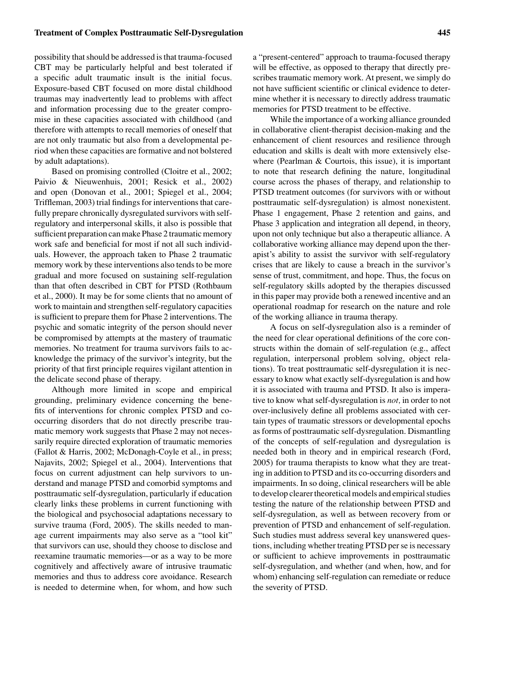possibility that should be addressed is that trauma-focused CBT may be particularly helpful and best tolerated if a specific adult traumatic insult is the initial focus. Exposure-based CBT focused on more distal childhood traumas may inadvertently lead to problems with affect and information processing due to the greater compromise in these capacities associated with childhood (and therefore with attempts to recall memories of oneself that are not only traumatic but also from a developmental period when these capacities are formative and not bolstered by adult adaptations).

Based on promising controlled (Cloitre et al., 2002; Paivio & Nieuwenhuis, 2001; Resick et al., 2002) and open (Donovan et al., 2001; Spiegel et al., 2004; Triffleman, 2003) trial findings for interventions that carefully prepare chronically dysregulated survivors with selfregulatory and interpersonal skills, it also is possible that sufficient preparation can make Phase 2 traumatic memory work safe and beneficial for most if not all such individuals. However, the approach taken to Phase 2 traumatic memory work by these interventions also tends to be more gradual and more focused on sustaining self-regulation than that often described in CBT for PTSD (Rothbaum et al., 2000). It may be for some clients that no amount of work to maintain and strengthen self-regulatory capacities is sufficient to prepare them for Phase 2 interventions. The psychic and somatic integrity of the person should never be compromised by attempts at the mastery of traumatic memories. No treatment for trauma survivors fails to acknowledge the primacy of the survivor's integrity, but the priority of that first principle requires vigilant attention in the delicate second phase of therapy.

Although more limited in scope and empirical grounding, preliminary evidence concerning the benefits of interventions for chronic complex PTSD and cooccurring disorders that do not directly prescribe traumatic memory work suggests that Phase 2 may not necessarily require directed exploration of traumatic memories (Fallot & Harris, 2002; McDonagh-Coyle et al., in press; Najavits, 2002; Spiegel et al., 2004). Interventions that focus on current adjustment can help survivors to understand and manage PTSD and comorbid symptoms and posttraumatic self-dysregulation, particularly if education clearly links these problems in current functioning with the biological and psychosocial adaptations necessary to survive trauma (Ford, 2005). The skills needed to manage current impairments may also serve as a "tool kit" that survivors can use, should they choose to disclose and reexamine traumatic memories—or as a way to be more cognitively and affectively aware of intrusive traumatic memories and thus to address core avoidance. Research is needed to determine when, for whom, and how such a "present-centered" approach to trauma-focused therapy will be effective, as opposed to therapy that directly prescribes traumatic memory work. At present, we simply do not have sufficient scientific or clinical evidence to determine whether it is necessary to directly address traumatic memories for PTSD treatment to be effective.

While the importance of a working alliance grounded in collaborative client-therapist decision-making and the enhancement of client resources and resilience through education and skills is dealt with more extensively elsewhere (Pearlman & Courtois, this issue), it is important to note that research defining the nature, longitudinal course across the phases of therapy, and relationship to PTSD treatment outcomes (for survivors with or without posttraumatic self-dysregulation) is almost nonexistent. Phase 1 engagement, Phase 2 retention and gains, and Phase 3 application and integration all depend, in theory, upon not only technique but also a therapeutic alliance. A collaborative working alliance may depend upon the therapist's ability to assist the survivor with self-regulatory crises that are likely to cause a breach in the survivor's sense of trust, commitment, and hope. Thus, the focus on self-regulatory skills adopted by the therapies discussed in this paper may provide both a renewed incentive and an operational roadmap for research on the nature and role of the working alliance in trauma therapy.

A focus on self-dysregulation also is a reminder of the need for clear operational definitions of the core constructs within the domain of self-regulation (e.g., affect regulation, interpersonal problem solving, object relations). To treat posttraumatic self-dysregulation it is necessary to know what exactly self-dysregulation is and how it is associated with trauma and PTSD. It also is imperative to know what self-dysregulation is *not,* in order to not over-inclusively define all problems associated with certain types of traumatic stressors or developmental epochs as forms of posttraumatic self-dysregulation. Dismantling of the concepts of self-regulation and dysregulation is needed both in theory and in empirical research (Ford, 2005) for trauma therapists to know what they are treating in addition to PTSD and its co-occurring disorders and impairments. In so doing, clinical researchers will be able to develop clearer theoretical models and empirical studies testing the nature of the relationship between PTSD and self-dysregulation, as well as between recovery from or prevention of PTSD and enhancement of self-regulation. Such studies must address several key unanswered questions, including whether treating PTSD per se is necessary or sufficient to achieve improvements in posttraumatic self-dysregulation, and whether (and when, how, and for whom) enhancing self-regulation can remediate or reduce the severity of PTSD.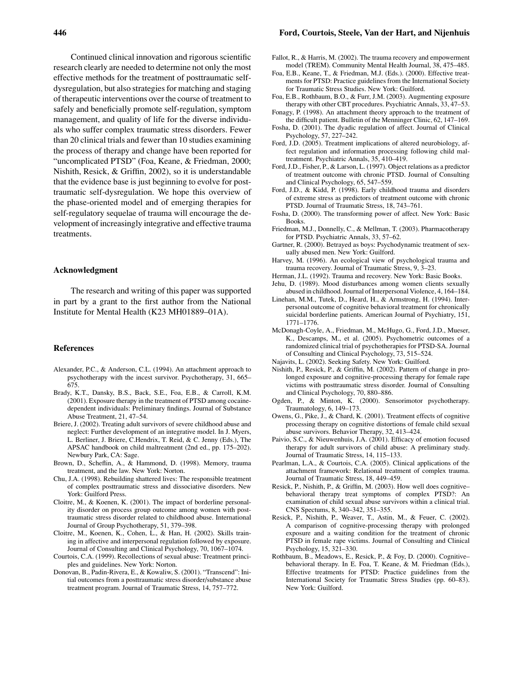Continued clinical innovation and rigorous scientific research clearly are needed to determine not only the most effective methods for the treatment of posttraumatic selfdysregulation, but also strategies for matching and staging of therapeutic interventions over the course of treatment to safely and beneficially promote self-regulation, symptom management, and quality of life for the diverse individuals who suffer complex traumatic stress disorders. Fewer than 20 clinical trials and fewer than 10 studies examining the process of therapy and change have been reported for "uncomplicated PTSD" (Foa, Keane, & Friedman, 2000; Nishith, Resick, & Griffin, 2002), so it is understandable that the evidence base is just beginning to evolve for posttraumatic self-dysregulation. We hope this overview of the phase-oriented model and of emerging therapies for self-regulatory sequelae of trauma will encourage the development of increasingly integrative and effective trauma treatments.

#### **Acknowledgment**

The research and writing of this paper was supported in part by a grant to the first author from the National Institute for Mental Health (K23 MH01889–01A).

## **References**

- Alexander, P.C., & Anderson, C.L. (1994). An attachment approach to psychotherapy with the incest survivor. Psychotherapy, 31, 665– 675.
- Brady, K.T., Dansky, B.S., Back, S.E., Foa, E.B., & Carroll, K.M. (2001). Exposure therapy in the treatment of PTSD among cocainedependent individuals: Preliminary findings. Journal of Substance Abuse Treatment, 21, 47–54.
- Briere, J. (2002). Treating adult survivors of severe childhood abuse and neglect: Further development of an integrative model. In J. Myers, L. Berliner, J. Briere, C.Hendrix, T. Reid, & C. Jenny (Eds.), The APSAC handbook on child maltreatment (2nd ed., pp. 175–202). Newbury Park, CA: Sage.
- Brown, D., Scheflin, A., & Hammond, D. (1998). Memory, trauma treatment, and the law. New York: Norton.
- Chu, J.A. (1998). Rebuilding shattered lives: The responsible treatment of complex posttraumatic stress and dissociative disorders. New York: Guilford Press.
- Cloitre, M., & Koenen, K. (2001). The impact of borderline personality disorder on process group outcome among women with posttraumatic stress disorder related to childhood abuse. International Journal of Group Psychotherapy, 51, 379–398.
- Cloitre, M., Koenen, K., Cohen, L., & Han, H. (2002). Skills training in affective and interpersonal regulation followed by exposure. Journal of Consulting and Clinical Psychology, 70, 1067–1074.
- Courtois, C.A. (1999). Recollections of sexual abuse: Treatment principles and guidelines. New York: Norton.
- Donovan, B., Padin-Rivera, E., & Kowaliw, S. (2001). "Transcend": Initial outcomes from a posttraumatic stress disorder/substance abuse treatment program. Journal of Traumatic Stress, 14, 757–772.
- **446 Ford, Courtois, Steele, Van der Hart, and Nijenhuis**
	- Fallot, R., & Harris, M. (2002). The trauma recovery and empowerment model (TREM). Community Mental Health Journal, 38, 475–485.
	- Foa, E.B., Keane, T., & Friedman, M.J. (Eds.). (2000). Effective treatments for PTSD: Practice guidelines from the International Society for Traumatic Stress Studies. New York: Guilford.
	- Foa, E.B., Rothbaum, B.O., & Furr, J.M. (2003). Augmenting exposure therapy with other CBT procedures. Psychiatric Annals, 33, 47–53.
	- Fonagy, P. (1998). An attachment theory approach to the treatment of the difficult patient. Bulletin of the Menninger Clinic, 62, 147–169. Fosha, D. (2001). The dyadic regulation of affect. Journal of Clinical
	- Psychology, 57, 227–242. Ford, J.D. (2005). Treatment implications of altered neurobiology, affect regulation and information processing following child mal-
	- treatment. Psychiatric Annals, 35, 410–419. Ford, J.D., Fisher, P., & Larson, L. (1997). Object relations as a predictor
	- of treatment outcome with chronic PTSD. Journal of Consulting and Clinical Psychology, 65, 547–559.
	- Ford, J.D., & Kidd, P. (1998). Early childhood trauma and disorders of extreme stress as predictors of treatment outcome with chronic PTSD. Journal of Traumatic Stress, 18, 743–761.
	- Fosha, D. (2000). The transforming power of affect. New York: Basic Books.
	- Friedman, M.J., Donnelly, C., & Mellman, T. (2003). Pharmacotherapy for PTSD. Psychiatric Annals, 33, 57–62.
	- Gartner, R. (2000). Betrayed as boys: Psychodynamic treatment of sexually abused men. New York: Guilford.
	- Harvey, M. (1996). An ecological view of psychological trauma and trauma recovery. Journal of Traumatic Stress, 9, 3–23.
	- Herman, J.L. (1992). Trauma and recovery. New York: Basic Books.
	- Jehu, D. (1989). Mood disturbances among women clients sexually abused in childhood. Journal of Interpersonal Violence, 4, 164–184.
	- Linehan, M.M., Tutek, D., Heard, H., & Armstrong, H. (1994). Interpersonal outcome of cognitive behavioral treatment for chronically suicidal borderline patients. American Journal of Psychiatry, 151, 1771–1776.
	- McDonagh-Coyle, A., Friedman, M., McHugo, G., Ford, J.D., Mueser, K., Descamps, M., et al. (2005). Psychometric outcomes of a randomized clinical trial of psychotherapies for PTSD-SA. Journal of Consulting and Clinical Psychology, 73, 515–524.
	- Najavits, L. (2002). Seeking Safety. New York: Guilford.
	- Nishith, P., Resick, P., & Griffin, M. (2002). Pattern of change in prolonged exposure and cognitive-processing therapy for female rape victims with posttraumatic stress disorder. Journal of Consulting and Clinical Psychology, 70, 880–886.
	- Ogden, P., & Minton, K. (2000). Sensorimotor psychotherapy. Traumatology, 6, 149–173.
	- Owens, G., Pike, J., & Chard, K. (2001). Treatment effects of cognitive processing therapy on cognitive distortions of female child sexual abuse survivors. Behavior Therapy, 32, 413–424.
	- Paivio, S.C., & Nieuwenhuis, J.A. (2001). Efficacy of emotion focused therapy for adult survivors of child abuse: A preliminary study. Journal of Traumatic Stress, 14, 115–133.
	- Pearlman, L.A., & Courtois, C.A. (2005). Clinical applications of the attachment framework: Relational treatment of complex trauma. Journal of Traumatic Stress, 18, 449–459.
	- Resick, P., Nishith, P., & Griffin, M. (2003). How well does cognitive– behavioral therapy treat symptoms of complex PTSD?: An examination of child sexual abuse survivors within a clinical trial. CNS Spectums, 8, 340–342, 351–355.
	- Resick, P., Nishith, P., Weaver, T., Astin, M., & Feuer, C. (2002). A comparison of cognitive-processing therapy with prolonged exposure and a waiting condition for the treatment of chronic PTSD in female rape victims. Journal of Consulting and Clinical Psychology, 15, 321–330.
	- Rothbaum, B., Meadows, E., Resick, P., & Foy, D. (2000). Cognitive– behavioral therapy. In E. Foa, T. Keane, & M. Friedman (Eds.), Effective treatments for PTSD: Practice guidelines from the International Society for Traumatic Stress Studies (pp. 60–83). New York: Guilford.